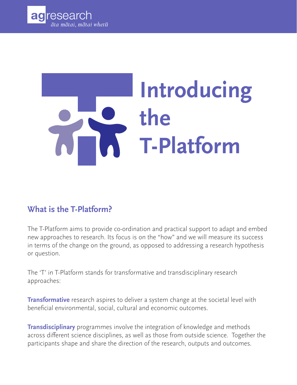

# **Introducing the T-Platform**

#### **What is the T-Platform?**

The T-Platform aims to provide co-ordination and practical support to adapt and embed new approaches to research. Its focus is on the "how" and we will measure its success in terms of the change on the ground, as opposed to addressing a research hypothesis or question.

The 'T' in T-Platform stands for transformative and transdisciplinary research approaches:

**Transformative** research aspires to deliver a system change at the societal level with beneficial environmental, social, cultural and economic outcomes.

**Transdisciplinary** programmes involve the integration of knowledge and methods across different science disciplines, as well as those from outside science. Together the participants shape and share the direction of the research, outputs and outcomes.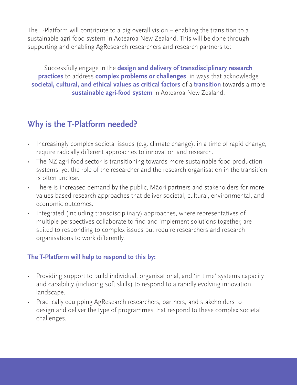The T-Platform will contribute to a big overall vision – enabling the transition to a sustainable agri-food system in Aotearoa New Zealand. This will be done through supporting and enabling AgResearch researchers and research partners to:

Successfully engage in the **design and delivery of transdisciplinary research practices** to address **complex problems or challenges**, in ways that acknowledge **societal, cultural, and ethical values as critical factors** of a **transition** towards a more **sustainable agri-food system** in Aotearoa New Zealand.

#### **Why is the T-Platform needed?**

- Increasingly complex societal issues (e.g. climate change), in a time of rapid change, require radically different approaches to innovation and research.
- The NZ agri-food sector is transitioning towards more sustainable food production systems, yet the role of the researcher and the research organisation in the transition is often unclear.
- There is increased demand by the public, Māori partners and stakeholders for more values-based research approaches that deliver societal, cultural, environmental, and economic outcomes.
- Integrated (including transdisciplinary) approaches, where representatives of multiple perspectives collaborate to find and implement solutions together, are suited to responding to complex issues but require researchers and research organisations to work differently.

#### **The T-Platform will help to respond to this by:**

- Providing support to build individual, organisational, and 'in time' systems capacity and capability (including soft skills) to respond to a rapidly evolving innovation landscape.
- Practically equipping AgResearch researchers, partners, and stakeholders to design and deliver the type of programmes that respond to these complex societal challenges.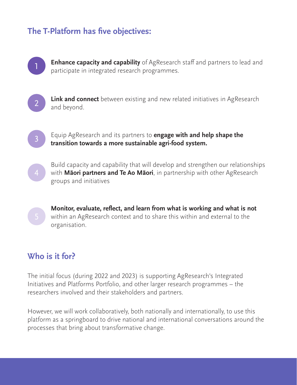### **The T-Platform has five objectives:**



**Enhance capacity and capability** of AgResearch staff and partners to lead and participate in integrated research programmes.



**Link and connect** between existing and new related initiatives in AgResearch and beyond.

Equip AgResearch and its partners to **engage with and help shape the transition towards a more sustainable agri-food system.**



3

Build capacity and capability that will develop and strengthen our relationships with **Māori partners and Te Ao Māori**, in partnership with other AgResearch groups and initiatives

**Monitor, evaluate, reflect, and learn from what is working and what is not**  within an AgResearch context and to share this within and external to the organisation.

#### **Who is it for?**

The initial focus (during 2022 and 2023) is supporting AgResearch's Integrated Initiatives and Platforms Portfolio, and other larger research programmes – the researchers involved and their stakeholders and partners.

However, we will work collaboratively, both nationally and internationally, to use this platform as a springboard to drive national and international conversations around the processes that bring about transformative change.